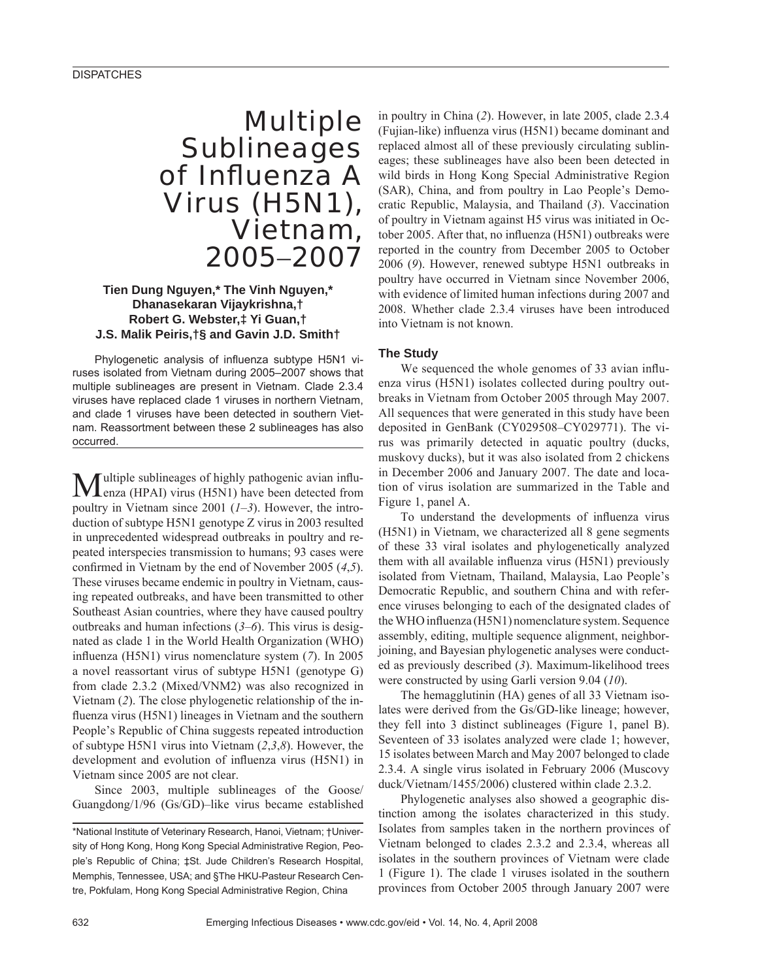# Multiple **Sublineages** of Influenza A Virus (H5N1), Vietnam, 2005−2007

## **Tien Dung Nguyen,\* The Vinh Nguyen,\* Dhanasekaran Vijaykrishna,† Robert G. Webster,‡ Yi Guan,† J.S. Malik Peiris,†§ and Gavin J.D. Smith†**

Phylogenetic analysis of influenza subtype H5N1 viruses isolated from Vietnam during 2005–2007 shows that multiple sublineages are present in Vietnam. Clade 2.3.4 viruses have replaced clade 1 viruses in northern Vietnam, and clade 1 viruses have been detected in southern Vietnam. Reassortment between these 2 sublineages has also occurred.

Multiple sublineages of highly pathogenic avian influ-<br>enza (HPAI) virus (H5N1) have been detected from poultry in Vietnam since 2001 (*1*–*3*). However, the introduction of subtype H5N1 genotype Z virus in 2003 resulted in unprecedented widespread outbreaks in poultry and repeated interspecies transmission to humans; 93 cases were confirmed in Vietnam by the end of November 2005 (4,5). These viruses became endemic in poultry in Vietnam, causing repeated outbreaks, and have been transmitted to other Southeast Asian countries, where they have caused poultry outbreaks and human infections (*3*–*6*). This virus is designated as clade 1 in the World Health Organization (WHO) influenza (H5N1) virus nomenclature system (7). In 2005 a novel reassortant virus of subtype H5N1 (genotype G) from clade 2.3.2 (Mixed/VNM2) was also recognized in Vietnam (*2*). The close phylogenetic relationship of the influenza virus (H5N1) lineages in Vietnam and the southern People's Republic of China suggests repeated introduction of subtype H5N1 virus into Vietnam (*2*,*3*,*8*). However, the development and evolution of influenza virus (H5N1) in Vietnam since 2005 are not clear.

Since 2003, multiple sublineages of the Goose/ Guangdong/1/96 (Gs/GD)–like virus became established

in poultry in China (*2*). However, in late 2005, clade 2.3.4 (Fujian-like) influenza virus (H5N1) became dominant and replaced almost all of these previously circulating sublineages; these sublineages have also been been detected in wild birds in Hong Kong Special Administrative Region (SAR), China, and from poultry in Lao People's Democratic Republic, Malaysia, and Thailand (*3*). Vaccination of poultry in Vietnam against H5 virus was initiated in October 2005. After that, no influenza (H5N1) outbreaks were reported in the country from December 2005 to October 2006 (*9*). However, renewed subtype H5N1 outbreaks in poultry have occurred in Vietnam since November 2006, with evidence of limited human infections during 2007 and 2008. Whether clade 2.3.4 viruses have been introduced into Vietnam is not known.

## **The Study**

We sequenced the whole genomes of 33 avian influenza virus (H5N1) isolates collected during poultry outbreaks in Vietnam from October 2005 through May 2007. All sequences that were generated in this study have been deposited in GenBank (CY029508–CY029771). The virus was primarily detected in aquatic poultry (ducks, muskovy ducks), but it was also isolated from 2 chickens in December 2006 and January 2007. The date and location of virus isolation are summarized in the Table and Figure 1, panel A.

To understand the developments of influenza virus (H5N1) in Vietnam, we characterized all 8 gene segments of these 33 viral isolates and phylogenetically analyzed them with all available influenza virus (H5N1) previously isolated from Vietnam, Thailand, Malaysia, Lao People's Democratic Republic, and southern China and with reference viruses belonging to each of the designated clades of the WHO influenza (H5N1) nomenclature system. Sequence assembly, editing, multiple sequence alignment, neighborjoining, and Bayesian phylogenetic analyses were conducted as previously described (*3*). Maximum-likelihood trees were constructed by using Garli version 9.04 (*10*).

The hemagglutinin (HA) genes of all 33 Vietnam isolates were derived from the Gs/GD-like lineage; however, they fell into 3 distinct sublineages (Figure 1, panel B). Seventeen of 33 isolates analyzed were clade 1; however, 15 isolates between March and May 2007 belonged to clade 2.3.4. A single virus isolated in February 2006 (Muscovy duck/Vietnam/1455/2006) clustered within clade 2.3.2.

Phylogenetic analyses also showed a geographic distinction among the isolates characterized in this study. Isolates from samples taken in the northern provinces of Vietnam belonged to clades 2.3.2 and 2.3.4, whereas all isolates in the southern provinces of Vietnam were clade 1 (Figure 1). The clade 1 viruses isolated in the southern provinces from October 2005 through January 2007 were

<sup>\*</sup>National Institute of Veterinary Research, Hanoi, Vietnam; †University of Hong Kong, Hong Kong Special Administrative Region, People's Republic of China; ‡St. Jude Children's Research Hospital, Memphis, Tennessee, USA; and §The HKU-Pasteur Research Centre, Pokfulam, Hong Kong Special Administrative Region, China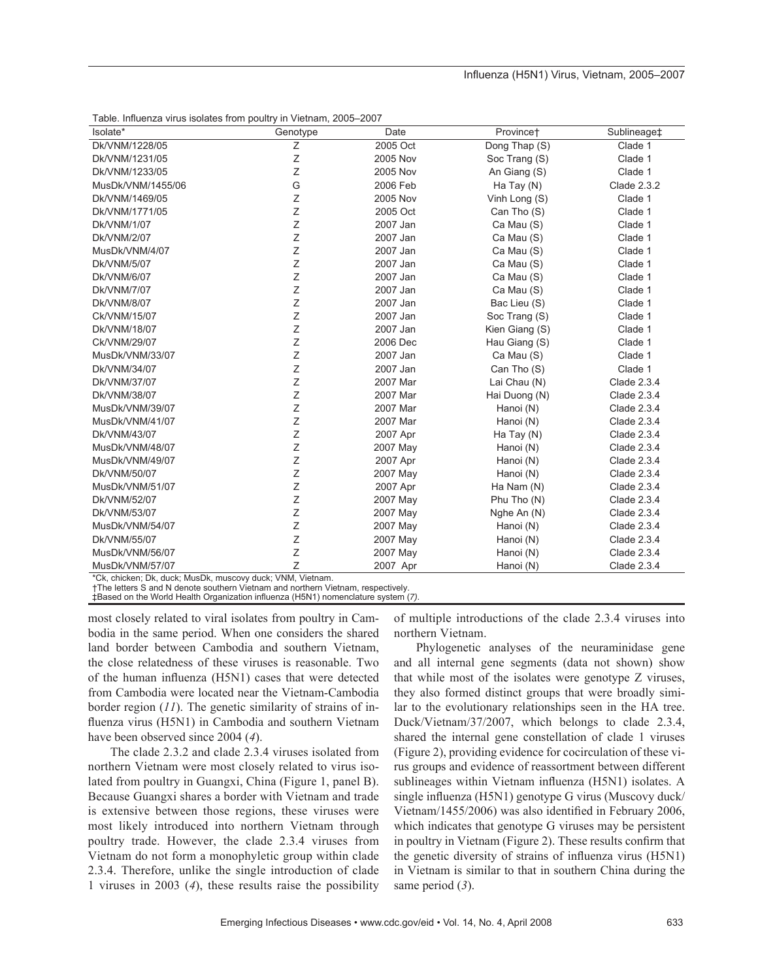#### Influenza (H5N1) Virus, Vietnam, 2005-2007

| Table. Influenza virus isolates from poultry in Vietnam, 2005-2007 |  |  |  |  |  |  |  |
|--------------------------------------------------------------------|--|--|--|--|--|--|--|
|--------------------------------------------------------------------|--|--|--|--|--|--|--|

| $1$ abic. Thirdchiza virus isolates from poultry in victimality zoos-zoon<br>Isolate* | Genotype | Date     | Province <sup>+</sup> | Sublineage <sup>+</sup> |
|---------------------------------------------------------------------------------------|----------|----------|-----------------------|-------------------------|
| Dk/VNM/1228/05                                                                        | Ζ        | 2005 Oct | Dong Thap (S)         | Clade 1                 |
| Dk/VNM/1231/05                                                                        | Z        | 2005 Nov | Soc Trang (S)         | Clade 1                 |
| Dk/VNM/1233/05                                                                        | Ζ        | 2005 Nov | An Giang (S)          | Clade 1                 |
| MusDk/VNM/1455/06                                                                     | G        | 2006 Feb | Ha Tay $(N)$          | Clade 2.3.2             |
| Dk/VNM/1469/05                                                                        | Ζ        | 2005 Nov | Vinh Long (S)         | Clade 1                 |
| Dk/VNM/1771/05                                                                        | Z        | 2005 Oct | Can Tho (S)           | Clade 1                 |
| Dk/VNM/1/07                                                                           | Z        | 2007 Jan | Ca Mau (S)            | Clade 1                 |
| Dk/VNM/2/07                                                                           | Z        | 2007 Jan | Ca Mau (S)            | Clade 1                 |
| MusDk/VNM/4/07                                                                        | Z        | 2007 Jan | Ca Mau (S)            | Clade 1                 |
| Dk/VNM/5/07                                                                           | Z        | 2007 Jan | Ca Mau (S)            | Clade 1                 |
| Dk/VNM/6/07                                                                           | Ζ        | 2007 Jan | Ca Mau (S)            | Clade 1                 |
| <b>Dk/VNM/7/07</b>                                                                    | Ζ        | 2007 Jan | Ca Mau (S)            | Clade 1                 |
| Dk/VNM/8/07                                                                           | Ζ        | 2007 Jan | Bac Lieu (S)          | Clade 1                 |
| Ck/VNM/15/07                                                                          | Z        | 2007 Jan | Soc Trang (S)         | Clade 1                 |
| Dk/VNM/18/07                                                                          | Z        | 2007 Jan | Kien Giang (S)        | Clade 1                 |
| Ck/VNM/29/07                                                                          | Z        | 2006 Dec | Hau Giang (S)         | Clade 1                 |
| MusDk/VNM/33/07                                                                       | Z        | 2007 Jan | Ca Mau (S)            | Clade 1                 |
| Dk/VNM/34/07                                                                          | Z        | 2007 Jan | Can Tho (S)           | Clade 1                 |
| Dk/VNM/37/07                                                                          | Z        | 2007 Mar | Lai Chau (N)          | Clade 2.3.4             |
| Dk/VNM/38/07                                                                          | Ζ        | 2007 Mar | Hai Duong (N)         | Clade 2.3.4             |
| MusDk/VNM/39/07                                                                       | Z        | 2007 Mar | Hanoi (N)             | Clade 2.3.4             |
| MusDk/VNM/41/07                                                                       | Z        | 2007 Mar | Hanoi (N)             | Clade 2.3.4             |
| Dk/VNM/43/07                                                                          | Z        | 2007 Apr | Ha Tay (N)            | Clade 2.3.4             |
| MusDk/VNM/48/07                                                                       | Z        | 2007 May | Hanoi (N)             | Clade 2.3.4             |
| MusDk/VNM/49/07                                                                       | Z        | 2007 Apr | Hanoi (N)             | Clade 2.3.4             |
| Dk/VNM/50/07                                                                          | Z        | 2007 May | Hanoi (N)             | Clade 2.3.4             |
| MusDk/VNM/51/07                                                                       | Z        | 2007 Apr | Ha Nam (N)            | Clade 2.3.4             |
| Dk/VNM/52/07                                                                          | Z        | 2007 May | Phu Tho (N)           | Clade 2.3.4             |
| Dk/VNM/53/07                                                                          | Ζ        | 2007 May | Nghe An (N)           | Clade 2.3.4             |
| MusDk/VNM/54/07                                                                       | Ζ        | 2007 May | Hanoi (N)             | Clade 2.3.4             |
| Dk/VNM/55/07                                                                          | Z        | 2007 May | Hanoi (N)             | Clade 2.3.4             |
| MusDk/VNM/56/07                                                                       | Z        | 2007 May | Hanoi (N)             | Clade 2.3.4             |
| MusDk/VNM/57/07                                                                       | Ζ        | 2007 Apr | Hanoi (N)             | Clade 2.3.4             |

\*Ck, chicken; Dk, duck; MusDk, muscovy duck; VNM, Vietnam.

†The letters S and N denote southern Vietnam and northern Vietnam, respectively. ‡Based on the World Health Organization influenza (H5N1) nomenclature system (*7)*.

most closely related to viral isolates from poultry in Cambodia in the same period. When one considers the shared land border between Cambodia and southern Vietnam, the close relatedness of these viruses is reasonable. Two of the human influenza (H5N1) cases that were detected from Cambodia were located near the Vietnam-Cambodia border region (*11*). The genetic similarity of strains of influenza virus (H5N1) in Cambodia and southern Vietnam have been observed since 2004 (*4*).

The clade 2.3.2 and clade 2.3.4 viruses isolated from northern Vietnam were most closely related to virus isolated from poultry in Guangxi, China (Figure 1, panel B). Because Guangxi shares a border with Vietnam and trade is extensive between those regions, these viruses were most likely introduced into northern Vietnam through poultry trade. However, the clade 2.3.4 viruses from Vietnam do not form a monophyletic group within clade 2.3.4. Therefore, unlike the single introduction of clade 1 viruses in 2003 (*4*), these results raise the possibility

of multiple introductions of the clade 2.3.4 viruses into northern Vietnam.

Phylogenetic analyses of the neuraminidase gene and all internal gene segments (data not shown) show that while most of the isolates were genotype Z viruses, they also formed distinct groups that were broadly similar to the evolutionary relationships seen in the HA tree. Duck/Vietnam/37/2007, which belongs to clade 2.3.4, shared the internal gene constellation of clade 1 viruses (Figure 2), providing evidence for cocirculation of these virus groups and evidence of reassortment between different sublineages within Vietnam influenza (H5N1) isolates. A single influenza (H5N1) genotype G virus (Muscovy duck/ Vietnam/1455/2006) was also identified in February 2006, which indicates that genotype G viruses may be persistent in poultry in Vietnam (Figure 2). These results confirm that the genetic diversity of strains of influenza virus (H5N1) in Vietnam is similar to that in southern China during the same period (*3*).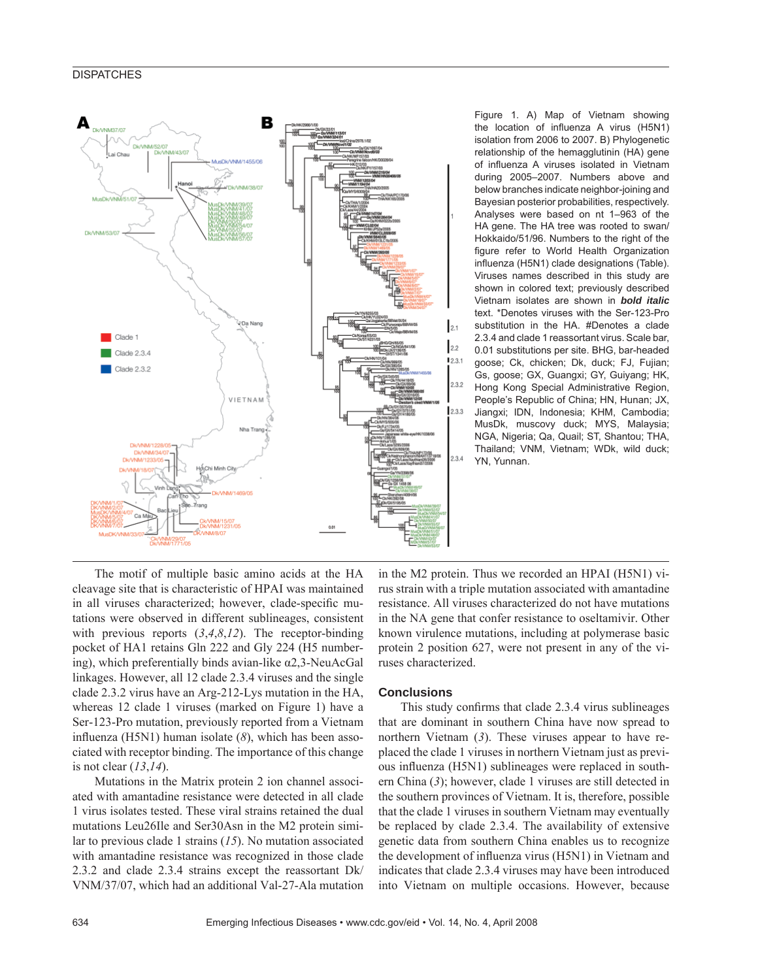#### **DISPATCHES**



Figure 1. A) Map of Vietnam showing the location of influenza A virus (H5N1) isolation from 2006 to 2007. B) Phylogenetic relationship of the hemagglutinin (HA) gene of influenza A viruses isolated in Vietnam during 2005–2007. Numbers above and below branches indicate neighbor-joining and Bayesian posterior probabilities, respectively. Analyses were based on nt 1–963 of the HA gene. The HA tree was rooted to swan/ Hokkaido/51/96. Numbers to the right of the figure refer to World Health Organization influenza (H5N1) clade designations (Table). Viruses names described in this study are shown in colored text; previously described Vietnam isolates are shown in *bold italic* text. \*Denotes viruses with the Ser-123-Pro substitution in the HA. #Denotes a clade 2.3.4 and clade 1 reassortant virus. Scale bar, 0.01 substitutions per site. BHG, bar-headed goose; Ck, chicken; Dk, duck; FJ, Fujian; Gs, goose; GX, Guangxi; GY, Guiyang; HK, Hong Kong Special Administrative Region, People's Republic of China; HN, Hunan; JX, Jiangxi; IDN, Indonesia; KHM, Cambodia; MusDk, muscovy duck; MYS, Malaysia; NGA, Nigeria; Qa, Quail; ST, Shantou; THA, Thailand; VNM, Vietnam; WDk, wild duck; YN, Yunnan.

The motif of multiple basic amino acids at the HA cleavage site that is characteristic of HPAI was maintained in all viruses characterized; however, clade-specific mutations were observed in different sublineages, consistent with previous reports (*3*,*4*,*8*,*12*). The receptor-binding pocket of HA1 retains Gln 222 and Gly 224 (H5 numbering), which preferentially binds avian-like  $\alpha$ 2,3-NeuAcGal linkages. However, all 12 clade 2.3.4 viruses and the single clade 2.3.2 virus have an Arg-212-Lys mutation in the HA, whereas 12 clade 1 viruses (marked on Figure 1) have a Ser-123-Pro mutation, previously reported from a Vietnam influenza (H5N1) human isolate  $(8)$ , which has been associated with receptor binding. The importance of this change is not clear (*13*,*14*).

Mutations in the Matrix protein 2 ion channel associated with amantadine resistance were detected in all clade 1 virus isolates tested. These viral strains retained the dual mutations Leu26Ile and Ser30Asn in the M2 protein similar to previous clade 1 strains (*15*). No mutation associated with amantadine resistance was recognized in those clade 2.3.2 and clade 2.3.4 strains except the reassortant Dk/ VNM/37/07, which had an additional Val-27-Ala mutation

in the M2 protein. Thus we recorded an HPAI (H5N1) virus strain with a triple mutation associated with amantadine resistance. All viruses characterized do not have mutations in the NA gene that confer resistance to oseltamivir. Other known virulence mutations, including at polymerase basic protein 2 position 627, were not present in any of the viruses characterized.

#### **Conclusions**

This study confirms that clade 2.3.4 virus sublineages that are dominant in southern China have now spread to northern Vietnam (*3*). These viruses appear to have replaced the clade 1 viruses in northern Vietnam just as previous influenza (H5N1) sublineages were replaced in southern China (*3*); however, clade 1 viruses are still detected in the southern provinces of Vietnam. It is, therefore, possible that the clade 1 viruses in southern Vietnam may eventually be replaced by clade 2.3.4. The availability of extensive genetic data from southern China enables us to recognize the development of influenza virus (H5N1) in Vietnam and indicates that clade 2.3.4 viruses may have been introduced into Vietnam on multiple occasions. However, because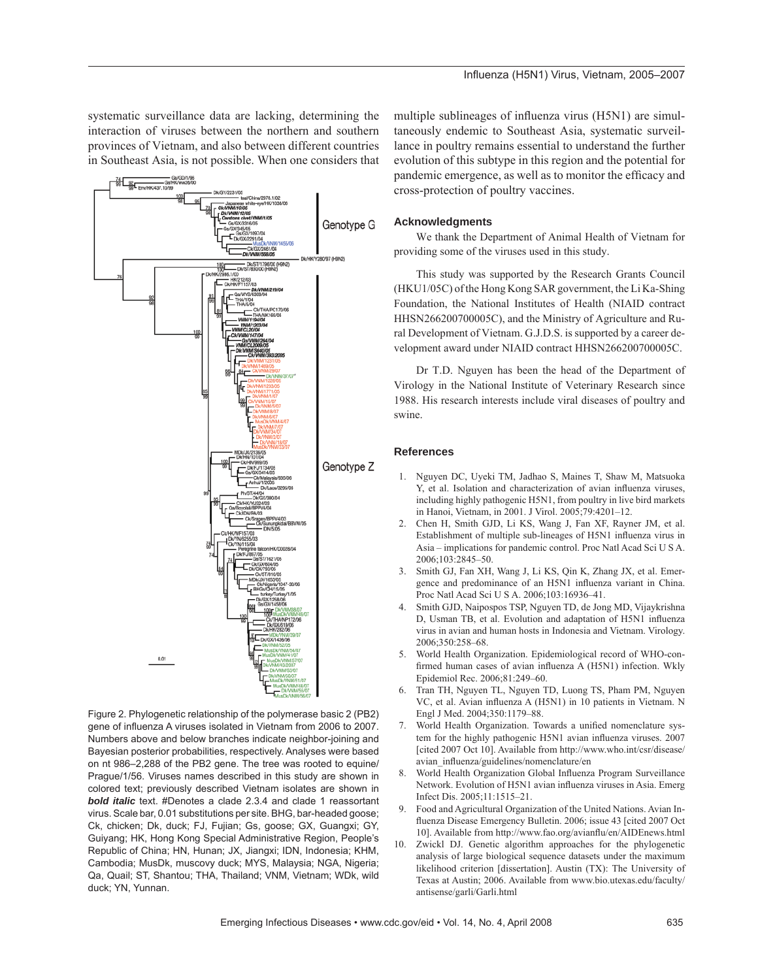systematic surveillance data are lacking, determining the interaction of viruses between the northern and southern provinces of Vietnam, and also between different countries in Southeast Asia, is not possible. When one considers that



Figure 2. Phylogenetic relationship of the polymerase basic 2 (PB2) gene of influenza A viruses isolated in Vietnam from 2006 to 2007. Numbers above and below branches indicate neighbor-joining and Bayesian posterior probabilities, respectively. Analyses were based on nt 986–2,288 of the PB2 gene. The tree was rooted to equine/ Prague/1/56. Viruses names described in this study are shown in colored text; previously described Vietnam isolates are shown in *bold italic* text. #Denotes a clade 2.3.4 and clade 1 reassortant virus. Scale bar, 0.01 substitutions per site. BHG, bar-headed goose; Ck, chicken; Dk, duck; FJ, Fujian; Gs, goose; GX, Guangxi; GY, Guiyang; HK, Hong Kong Special Administrative Region, People's Republic of China; HN, Hunan; JX, Jiangxi; IDN, Indonesia; KHM, Cambodia; MusDk, muscovy duck; MYS, Malaysia; NGA, Nigeria; Qa, Quail; ST, Shantou; THA, Thailand; VNM, Vietnam; WDk, wild duck; YN, Yunnan.

multiple sublineages of influenza virus (H5N1) are simultaneously endemic to Southeast Asia, systematic surveillance in poultry remains essential to understand the further evolution of this subtype in this region and the potential for pandemic emergence, as well as to monitor the efficacy and cross-protection of poultry vaccines.

#### **Acknowledgments**

We thank the Department of Animal Health of Vietnam for providing some of the viruses used in this study.

This study was supported by the Research Grants Council (HKU1/05C) of the Hong Kong SAR government, the Li Ka-Shing Foundation, the National Institutes of Health (NIAID contract HHSN266200700005C), and the Ministry of Agriculture and Rural Development of Vietnam. G.J.D.S. is supported by a career development award under NIAID contract HHSN266200700005C.

Dr T.D. Nguyen has been the head of the Department of Virology in the National Institute of Veterinary Research since 1988. His research interests include viral diseases of poultry and swine.

#### **References**

- 1. Nguyen DC, Uyeki TM, Jadhao S, Maines T, Shaw M, Matsuoka Y, et al. Isolation and characterization of avian influenza viruses, including highly pathogenic H5N1, from poultry in live bird markets in Hanoi, Vietnam, in 2001. J Virol. 2005;79:4201–12.
- 2. Chen H, Smith GJD, Li KS, Wang J, Fan XF, Rayner JM, et al. Establishment of multiple sub-lineages of H5N1 influenza virus in Asia – implications for pandemic control. Proc Natl Acad Sci U S A. 2006;103:2845–50.
- 3. Smith GJ, Fan XH, Wang J, Li KS, Qin K, Zhang JX, et al. Emergence and predominance of an H5N1 influenza variant in China. Proc Natl Acad Sci U S A. 2006;103:16936–41.
- 4. Smith GJD, Naipospos TSP, Nguyen TD, de Jong MD, Vijaykrishna D, Usman TB, et al. Evolution and adaptation of H5N1 influenza virus in avian and human hosts in Indonesia and Vietnam. Virology. 2006;350:258–68.
- 5. World Health Organization. Epidemiological record of WHO-confirmed human cases of avian influenza A (H5N1) infection. Wkly Epidemiol Rec. 2006;81:249–60.
- 6. Tran TH, Nguyen TL, Nguyen TD, Luong TS, Pham PM, Nguyen VC, et al. Avian influenza A (H5N1) in 10 patients in Vietnam. N Engl J Med. 2004;350:1179–88.
- 7. World Health Organization. Towards a unified nomenclature system for the highly pathogenic H5N1 avian influenza viruses. 2007 [cited 2007 Oct 10]. Available from http://www.who.int/csr/disease/ avian\_influenza/guidelines/nomenclature/en
- 8. World Health Organization Global Influenza Program Surveillance Network. Evolution of H5N1 avian influenza viruses in Asia. Emerg Infect Dis. 2005;11:1515–21.
- 9. Food and Agricultural Organization of the United Nations. Avian Influenza Disease Emergency Bulletin. 2006; issue 43 [cited 2007 Oct] 10]. Available from http://www.fao.org/avianflu/en/AIDEnews.html
- 10. Zwickl DJ. Genetic algorithm approaches for the phylogenetic analysis of large biological sequence datasets under the maximum likelihood criterion [dissertation]. Austin (TX): The University of Texas at Austin; 2006. Available from www.bio.utexas.edu/faculty/ antisense/garli/Garli.html